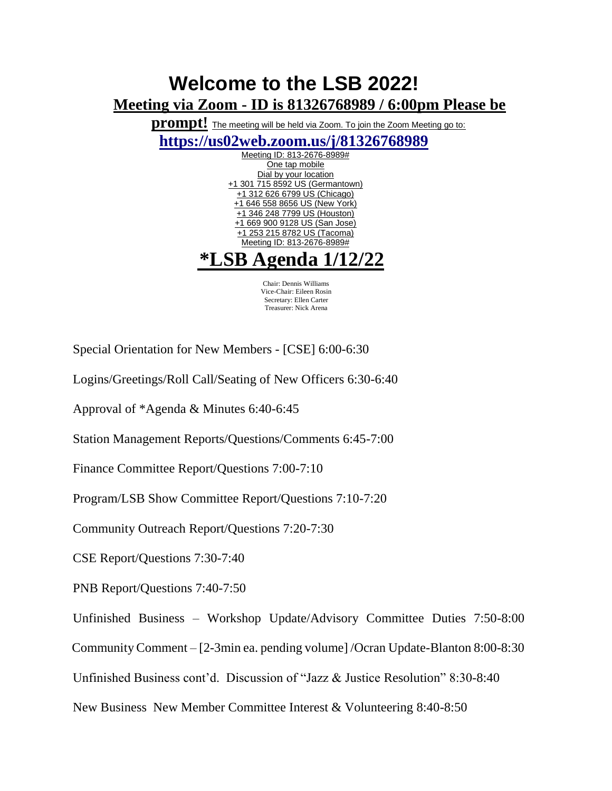## **Welcome to the LSB 2022! Meeting via Zoom - ID is 81326768989 / 6:00pm Please be**

**prompt!** The meeting will be held via Zoom. To join the Zoom Meeting go to:

**https://us02web.zoom.us/j/81326768989**



Chair: Dennis Williams Vice-Chair: Eileen Rosin Secretary: Ellen Carter Treasurer: Nick Arena

Special Orientation for New Members - [CSE] 6:00-6:30

Logins/Greetings/Roll Call/Seating of New Officers 6:30-6:40

Approval of \*Agenda & Minutes 6:40-6:45

Station Management Reports/Questions/Comments 6:45-7:00

Finance Committee Report/Questions 7:00-7:10

Program/LSB Show Committee Report/Questions 7:10-7:20

Community Outreach Report/Questions 7:20-7:30

CSE Report/Questions 7:30-7:40

PNB Report/Questions 7:40-7:50

Unfinished Business – Workshop Update/Advisory Committee Duties 7:50-8:00

Community Comment – [2-3min ea. pending volume] /Ocran Update-Blanton 8:00-8:30

Unfinished Business cont'd. Discussion of "Jazz & Justice Resolution" 8:30-8:40

New Business New Member Committee Interest & Volunteering 8:40-8:50